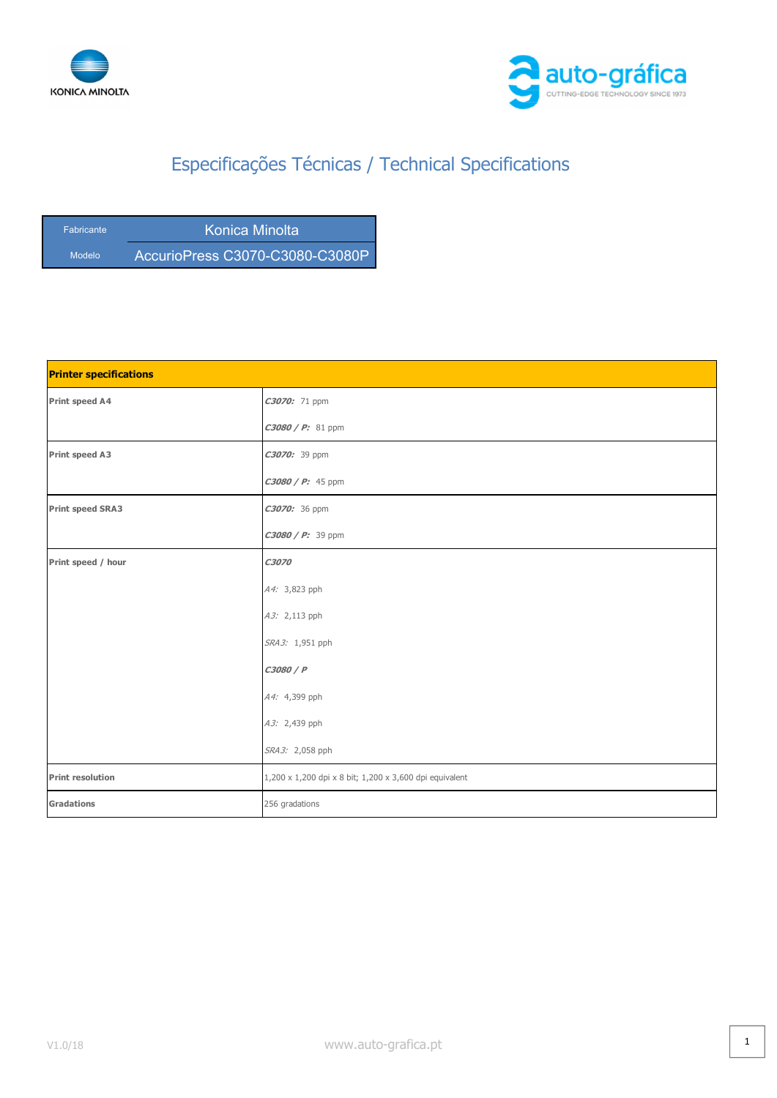



| <b>Fabricante</b> | Konica Minolta                   |
|-------------------|----------------------------------|
| Modelo            | AccurioPress C3070-C3080-C3080P' |

| <b>Printer specifications</b> |                                                         |
|-------------------------------|---------------------------------------------------------|
| Print speed A4                | C3070: 71 ppm                                           |
|                               | $C3080 / P: 81$ ppm                                     |
| <b>Print speed A3</b>         | C3070: 39 ppm                                           |
|                               | $C3080 / P: 45$ ppm                                     |
| <b>Print speed SRA3</b>       | C3070: 36 ppm                                           |
|                               | $C3080 / P: 39$ ppm                                     |
| Print speed / hour            | C3070                                                   |
|                               | A4: 3,823 pph                                           |
|                               | A3: 2,113 pph                                           |
|                               | SRA3: 1,951 pph                                         |
|                               | C3080 / P                                               |
|                               | A4: 4,399 pph                                           |
|                               | A3: 2,439 pph                                           |
|                               | SRA3: 2,058 pph                                         |
| <b>Print resolution</b>       | 1,200 x 1,200 dpi x 8 bit; 1,200 x 3,600 dpi equivalent |
| <b>Gradations</b>             | 256 gradations                                          |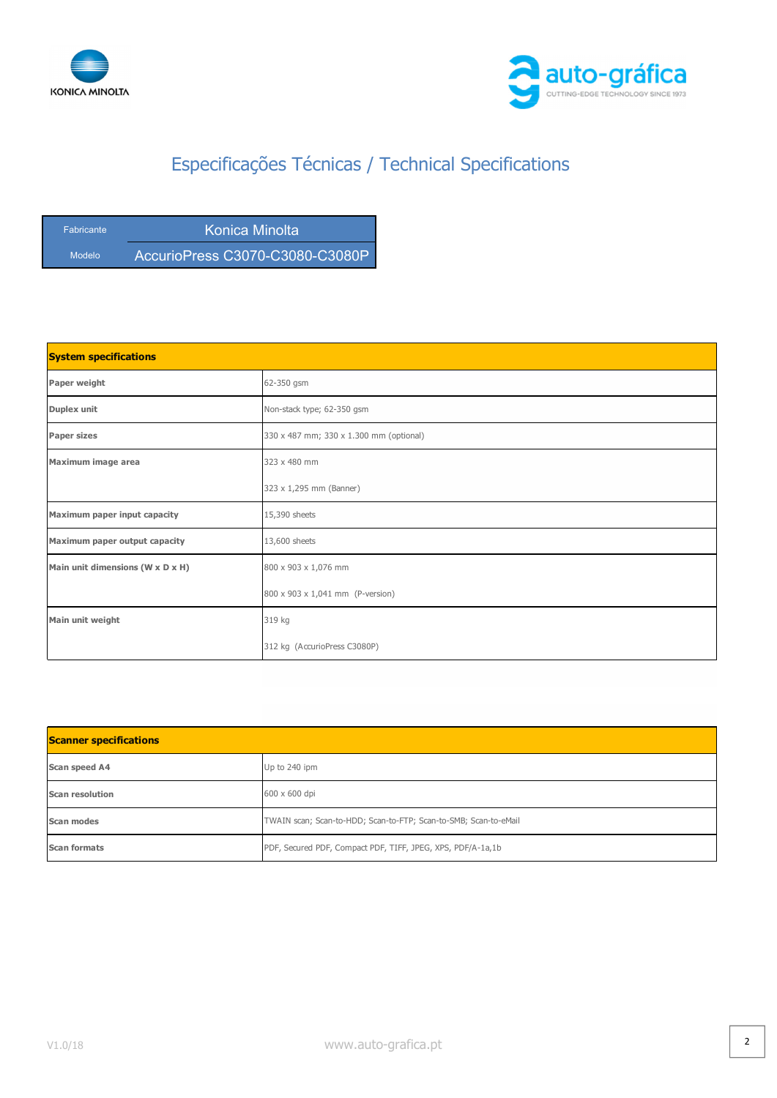



| <b>Fabricante</b> | Konica Minolta                  |
|-------------------|---------------------------------|
| <b>Modelo</b>     | AccurioPress C3070-C3080-C3080P |

| <b>System specifications</b>     |                                         |
|----------------------------------|-----------------------------------------|
| Paper weight                     | 62-350 gsm                              |
| Duplex unit                      | Non-stack type; 62-350 gsm              |
| <b>Paper sizes</b>               | 330 x 487 mm; 330 x 1.300 mm (optional) |
| Maximum image area               | 323 x 480 mm                            |
|                                  | 323 x 1,295 mm (Banner)                 |
| Maximum paper input capacity     | 15,390 sheets                           |
| Maximum paper output capacity    | 13,600 sheets                           |
| Main unit dimensions (W x D x H) | 800 x 903 x 1,076 mm                    |
|                                  | 800 x 903 x 1,041 mm (P-version)        |
| Main unit weight                 | 319 kg                                  |
|                                  | 312 kg (AccurioPress C3080P)            |

| <b>Scanner specifications</b> |                                                                  |
|-------------------------------|------------------------------------------------------------------|
| Scan speed A4                 | Up to 240 ipm                                                    |
| <b>Scan resolution</b>        | 600 x 600 dpi                                                    |
| Scan modes                    | TWAIN scan; Scan-to-HDD; Scan-to-FTP; Scan-to-SMB; Scan-to-eMail |
| <b>Scan formats</b>           | PDF, Secured PDF, Compact PDF, TIFF, JPEG, XPS, PDF/A-1a,1b      |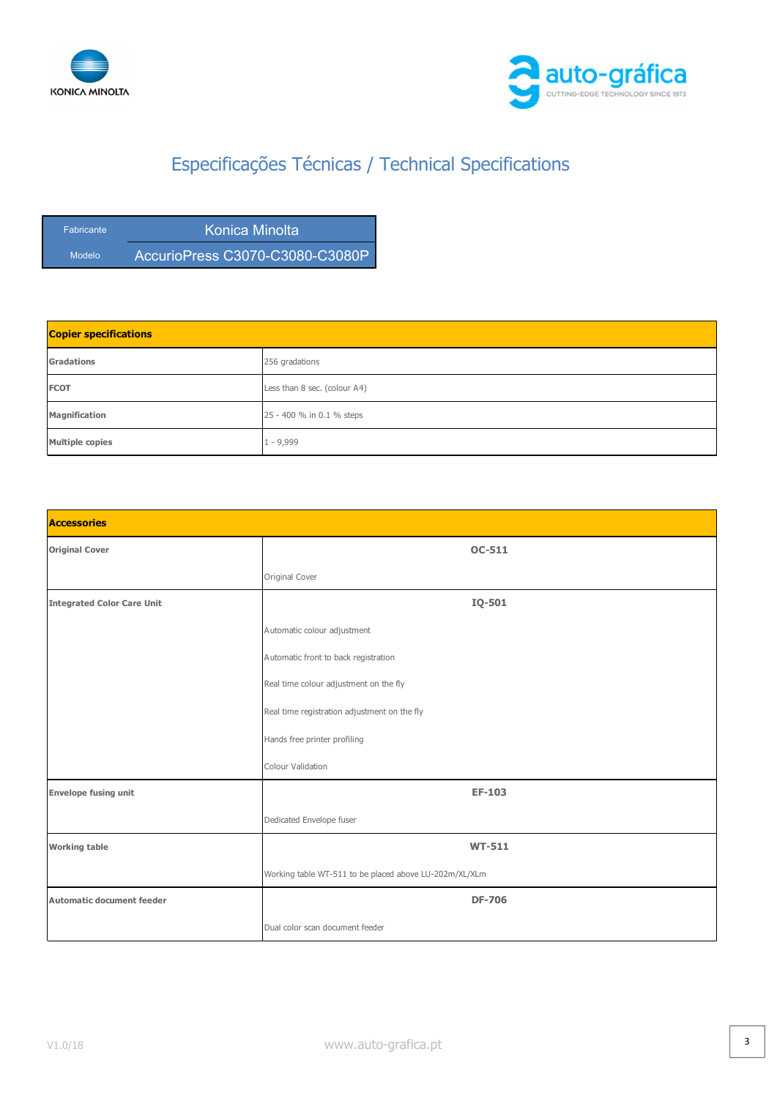



| <b>Fabricante</b> | Konica Minolta |
|-------------------|----------------|
| Modelo            |                |

| <b>Copier specifications</b> |                              |
|------------------------------|------------------------------|
| <b>Gradations</b>            | 256 gradations               |
| <b>FCOT</b>                  | Less than 8 sec. (colour A4) |
| <b>Magnification</b>         | 25 - 400 % in 0.1 % steps    |
| <b>Multiple copies</b>       | $-9,999$                     |

| <b>Accessories</b>                |                                                        |
|-----------------------------------|--------------------------------------------------------|
| <b>Original Cover</b>             | <b>OC-511</b>                                          |
|                                   | Original Cover                                         |
| <b>Integrated Color Care Unit</b> | IQ-501                                                 |
|                                   | Automatic colour adjustment                            |
|                                   | Automatic front to back registration                   |
|                                   | Real time colour adjustment on the fly                 |
|                                   | Real time registration adjustment on the fly           |
|                                   | Hands free printer profiling                           |
|                                   | Colour Validation                                      |
| <b>Envelope fusing unit</b>       | <b>EF-103</b>                                          |
|                                   | Dedicated Envelope fuser                               |
| <b>Working table</b>              | <b>WT-511</b>                                          |
|                                   | Working table WT-511 to be placed above LU-202m/XL/XLm |
| <b>Automatic document feeder</b>  | <b>DF-706</b>                                          |
|                                   | Dual color scan document feeder                        |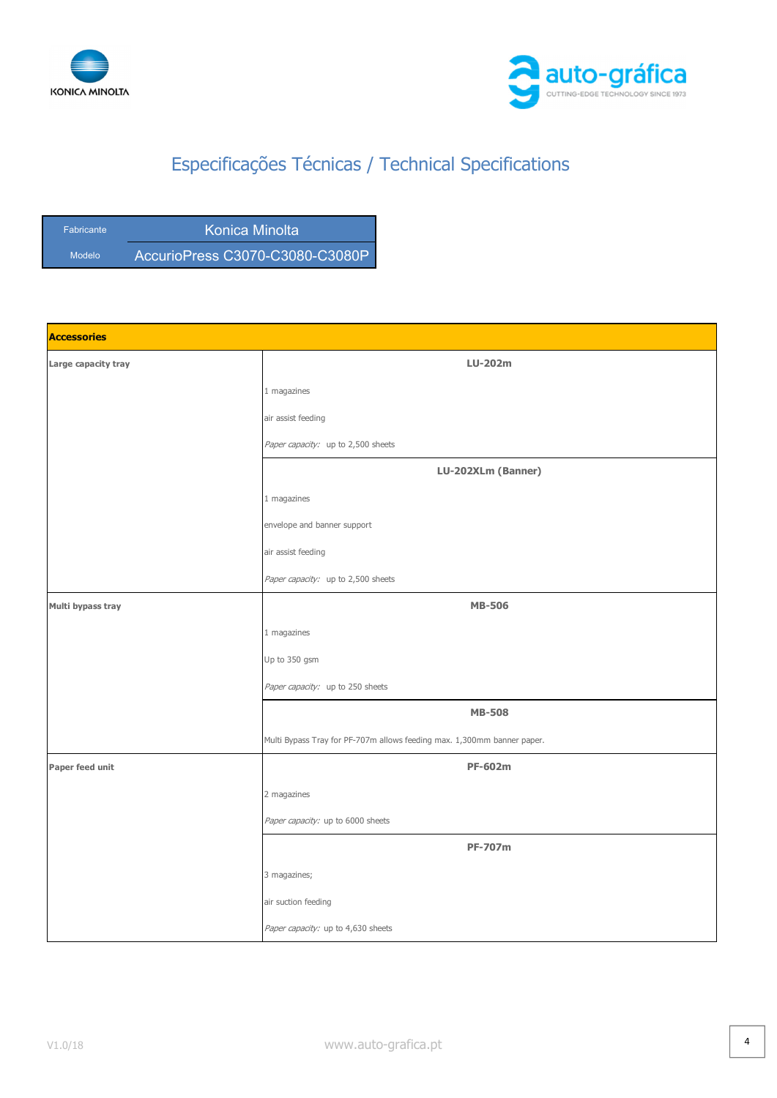



| <b>Fabricante</b> | Konica Minolta                  |
|-------------------|---------------------------------|
| <b>Modelo</b>     | AccurioPress C3070-C3080-C3080P |

| <b>Accessories</b>  |                                                                         |
|---------------------|-------------------------------------------------------------------------|
| Large capacity tray | <b>LU-202m</b>                                                          |
|                     | $1$ magazines                                                           |
|                     | air assist feeding                                                      |
|                     | Paper capacity: up to 2,500 sheets                                      |
|                     | LU-202XLm (Banner)                                                      |
|                     | 1 magazines                                                             |
|                     | envelope and banner support                                             |
|                     | air assist feeding                                                      |
|                     | Paper capacity: up to 2,500 sheets                                      |
| Multi bypass tray   | <b>MB-506</b>                                                           |
|                     | 1 magazines                                                             |
|                     | Up to 350 gsm                                                           |
|                     | Paper capacity: up to 250 sheets                                        |
|                     | <b>MB-508</b>                                                           |
|                     | Multi Bypass Tray for PF-707m allows feeding max. 1,300mm banner paper. |
| Paper feed unit     | <b>PF-602m</b>                                                          |
|                     | 2 magazines                                                             |
|                     | Paper capacity: up to 6000 sheets                                       |
|                     | <b>PF-707m</b>                                                          |
|                     | 3 magazines;                                                            |
|                     | air suction feeding                                                     |
|                     | Paper capacity: up to 4,630 sheets                                      |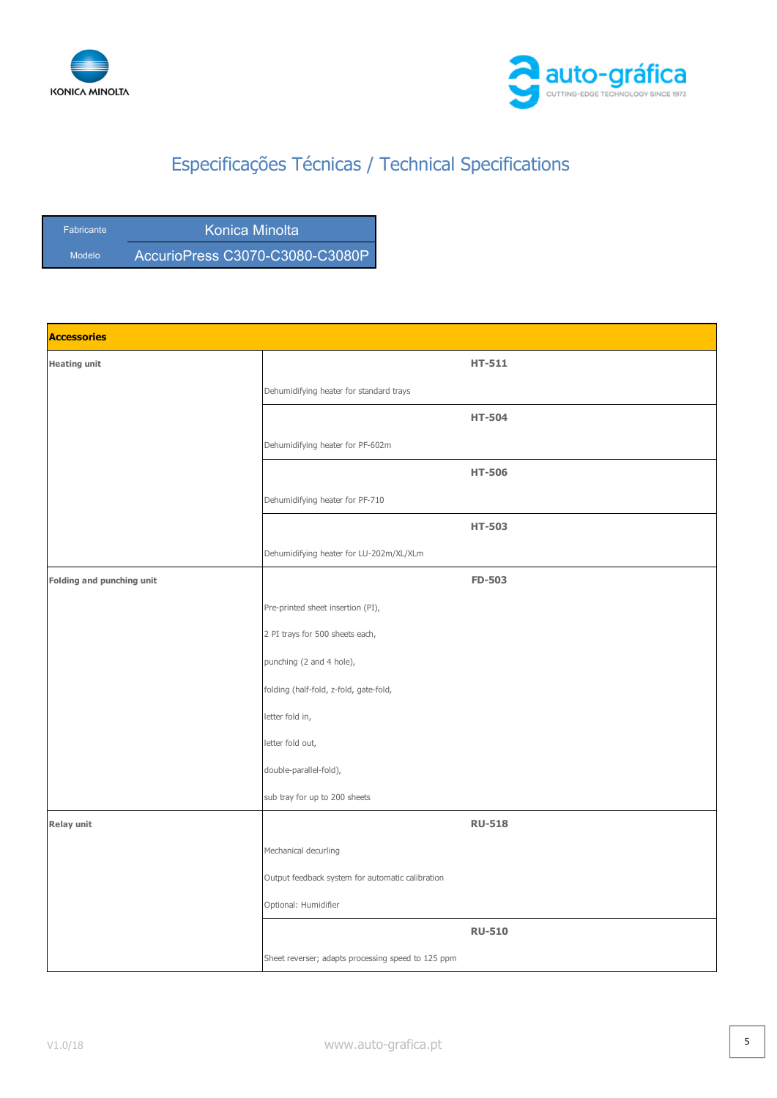



| <b>Fabricante</b> | Konica Minolta                  |
|-------------------|---------------------------------|
| <b>Modelo</b>     | AccurioPress C3070-C3080-C3080P |

| <b>Accessories</b>        |                                                    |
|---------------------------|----------------------------------------------------|
| <b>Heating unit</b>       | <b>HT-511</b>                                      |
|                           | Dehumidifying heater for standard trays            |
|                           | <b>HT-504</b>                                      |
|                           | Dehumidifying heater for PF-602m                   |
|                           | <b>HT-506</b>                                      |
|                           | Dehumidifying heater for PF-710                    |
|                           | <b>HT-503</b>                                      |
|                           | Dehumidifying heater for LU-202m/XL/XLm            |
| Folding and punching unit | <b>FD-503</b>                                      |
|                           | Pre-printed sheet insertion (PI),                  |
|                           | 2 PI trays for 500 sheets each,                    |
|                           | punching (2 and 4 hole),                           |
|                           | folding (half-fold, z-fold, gate-fold,             |
|                           | letter fold in,                                    |
|                           | letter fold out,                                   |
|                           | double-parallel-fold),                             |
|                           | sub tray for up to 200 sheets                      |
| Relay unit                | <b>RU-518</b>                                      |
|                           | Mechanical decurling                               |
|                           | Output feedback system for automatic calibration   |
|                           | Optional: Humidifier                               |
|                           | <b>RU-510</b>                                      |
|                           | Sheet reverser; adapts processing speed to 125 ppm |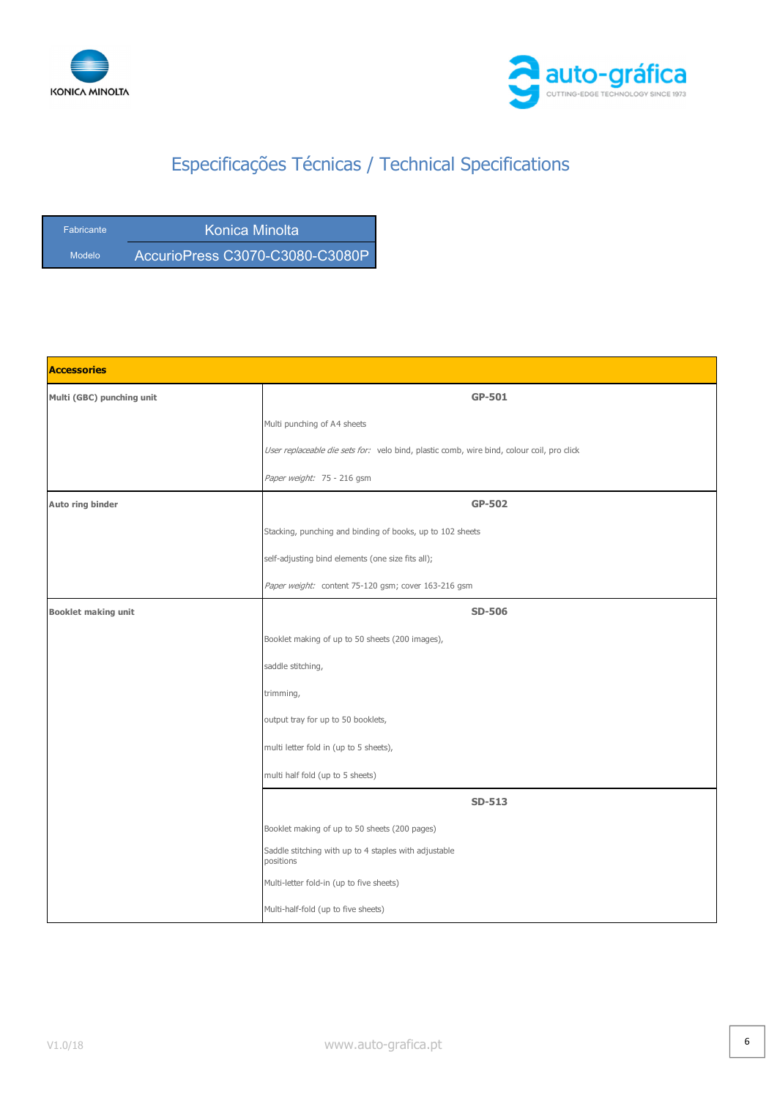



| <b>Fabricante</b> | Konica Minolta                  |
|-------------------|---------------------------------|
| Modelo            | AccurioPress C3070-C3080-C3080P |

| <b>Accessories</b>         |                                                                                           |
|----------------------------|-------------------------------------------------------------------------------------------|
| Multi (GBC) punching unit  | GP-501                                                                                    |
|                            | Multi punching of A4 sheets                                                               |
|                            | User replaceable die sets for: velo bind, plastic comb, wire bind, colour coil, pro click |
|                            | Paper weight: 75 - 216 gsm                                                                |
| Auto ring binder           | GP-502                                                                                    |
|                            | Stacking, punching and binding of books, up to 102 sheets                                 |
|                            | self-adjusting bind elements (one size fits all);                                         |
|                            | Paper weight: content 75-120 gsm; cover 163-216 gsm                                       |
| <b>Booklet making unit</b> | <b>SD-506</b>                                                                             |
|                            | Booklet making of up to 50 sheets (200 images),                                           |
|                            | saddle stitching,                                                                         |
|                            | trimming,                                                                                 |
|                            | output tray for up to 50 booklets,                                                        |
|                            | multi letter fold in (up to 5 sheets),                                                    |
|                            | multi half fold (up to 5 sheets)                                                          |
|                            | <b>SD-513</b>                                                                             |
|                            | Booklet making of up to 50 sheets (200 pages)                                             |
|                            | Saddle stitching with up to 4 staples with adjustable<br>positions                        |
|                            | Multi-letter fold-in (up to five sheets)                                                  |
|                            | Multi-half-fold (up to five sheets)                                                       |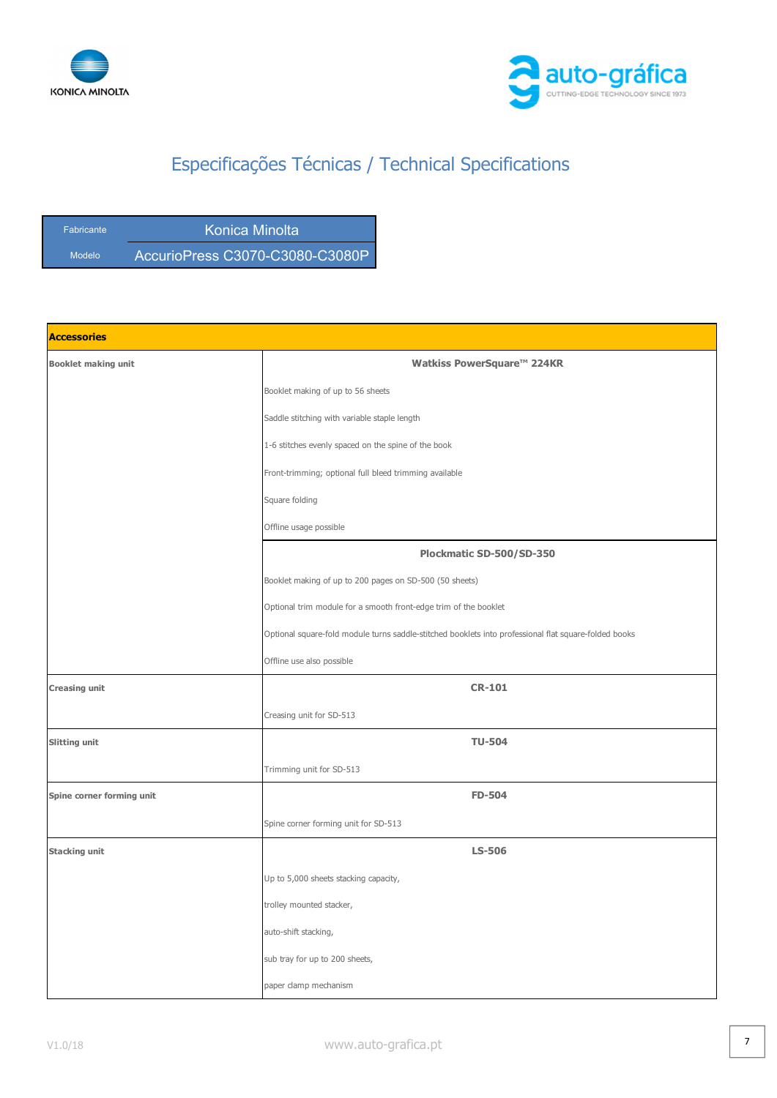



| <b>Fabricante</b> | Konica Minolta                  |
|-------------------|---------------------------------|
| Modelo            | AccurioPress C3070-C3080-C3080P |

| <b>Accessories</b>         |                                                                                                       |
|----------------------------|-------------------------------------------------------------------------------------------------------|
| <b>Booklet making unit</b> | Watkiss PowerSquare <sup>™</sup> 224KR                                                                |
|                            | Booklet making of up to 56 sheets                                                                     |
|                            | Saddle stitching with variable staple length                                                          |
|                            | 1-6 stitches evenly spaced on the spine of the book                                                   |
|                            | Front-trimming; optional full bleed trimming available                                                |
|                            | Square folding                                                                                        |
|                            | Offline usage possible                                                                                |
|                            | Plockmatic SD-500/SD-350                                                                              |
|                            | Booklet making of up to 200 pages on SD-500 (50 sheets)                                               |
|                            | Optional trim module for a smooth front-edge trim of the booklet                                      |
|                            | Optional square-fold module turns saddle-stitched booklets into professional flat square-folded books |
|                            | Offline use also possible                                                                             |
| <b>Creasing unit</b>       | <b>CR-101</b>                                                                                         |
|                            | Creasing unit for SD-513                                                                              |
| Slitting unit              | <b>TU-504</b>                                                                                         |
|                            | Trimming unit for SD-513                                                                              |
| Spine corner forming unit  | FD-504                                                                                                |
|                            | Spine corner forming unit for SD-513                                                                  |
| <b>Stacking unit</b>       | <b>LS-506</b>                                                                                         |
|                            | Up to 5,000 sheets stacking capacity,                                                                 |
|                            | trolley mounted stacker,                                                                              |
|                            | auto-shift stacking,                                                                                  |
|                            | sub tray for up to 200 sheets,                                                                        |
|                            | paper clamp mechanism                                                                                 |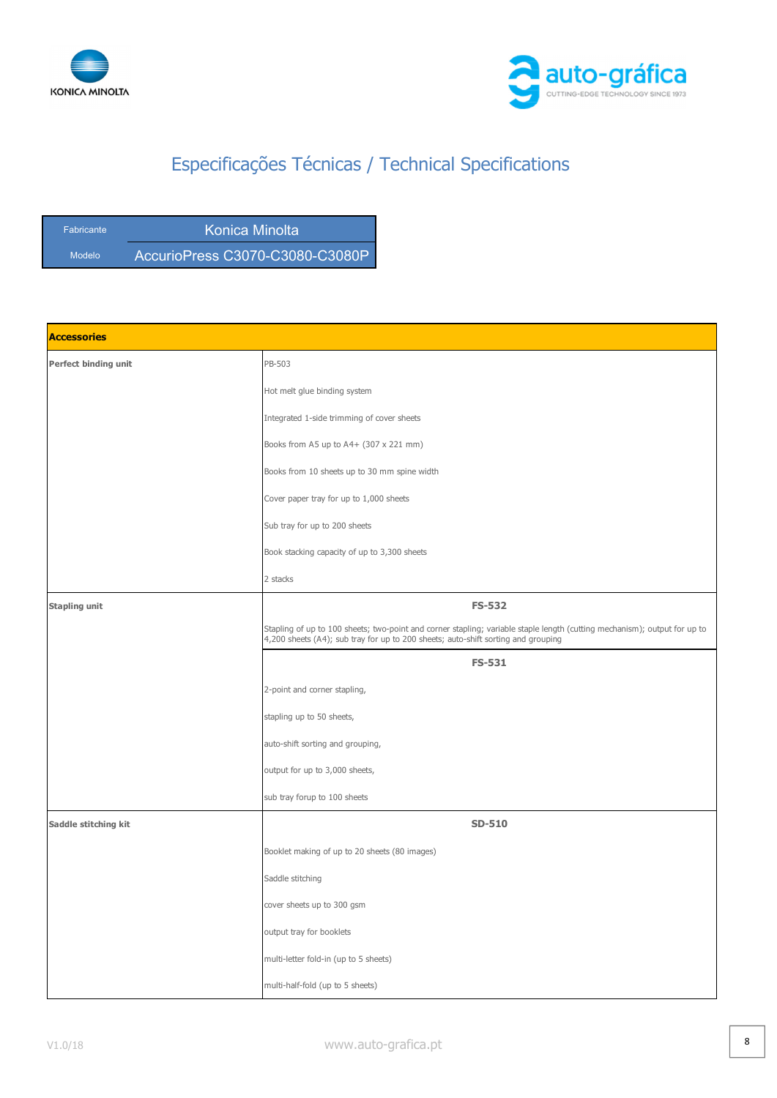



| <b>Fabricante</b> | Konica Minolta                  |
|-------------------|---------------------------------|
| Modelo            | AccurioPress C3070-C3080-C3080P |

| <b>Accessories</b>   |                                                                                                                                                                                                                |
|----------------------|----------------------------------------------------------------------------------------------------------------------------------------------------------------------------------------------------------------|
| Perfect binding unit | PB-503                                                                                                                                                                                                         |
|                      | Hot melt glue binding system                                                                                                                                                                                   |
|                      | Integrated 1-side trimming of cover sheets                                                                                                                                                                     |
|                      | Books from A5 up to A4+ (307 x 221 mm)                                                                                                                                                                         |
|                      | Books from 10 sheets up to 30 mm spine width                                                                                                                                                                   |
|                      | Cover paper tray for up to 1,000 sheets                                                                                                                                                                        |
|                      | Sub tray for up to 200 sheets                                                                                                                                                                                  |
|                      | Book stacking capacity of up to 3,300 sheets                                                                                                                                                                   |
|                      | 2 stacks                                                                                                                                                                                                       |
| <b>Stapling unit</b> | <b>FS-532</b>                                                                                                                                                                                                  |
|                      | Stapling of up to 100 sheets; two-point and corner stapling; variable staple length (cutting mechanism); output for up to<br>4,200 sheets (A4); sub tray for up to 200 sheets; auto-shift sorting and grouping |
|                      | <b>FS-531</b>                                                                                                                                                                                                  |
|                      | 2-point and corner stapling,                                                                                                                                                                                   |
|                      | stapling up to 50 sheets,                                                                                                                                                                                      |
|                      | auto-shift sorting and grouping,                                                                                                                                                                               |
|                      | output for up to 3,000 sheets,                                                                                                                                                                                 |
|                      | sub tray forup to 100 sheets                                                                                                                                                                                   |
| Saddle stitching kit | <b>SD-510</b>                                                                                                                                                                                                  |
|                      | Booklet making of up to 20 sheets (80 images)                                                                                                                                                                  |
|                      | Saddle stitching                                                                                                                                                                                               |
|                      | cover sheets up to 300 gsm                                                                                                                                                                                     |
|                      | output tray for booklets                                                                                                                                                                                       |
|                      | multi-letter fold-in (up to 5 sheets)                                                                                                                                                                          |
|                      | multi-half-fold (up to 5 sheets)                                                                                                                                                                               |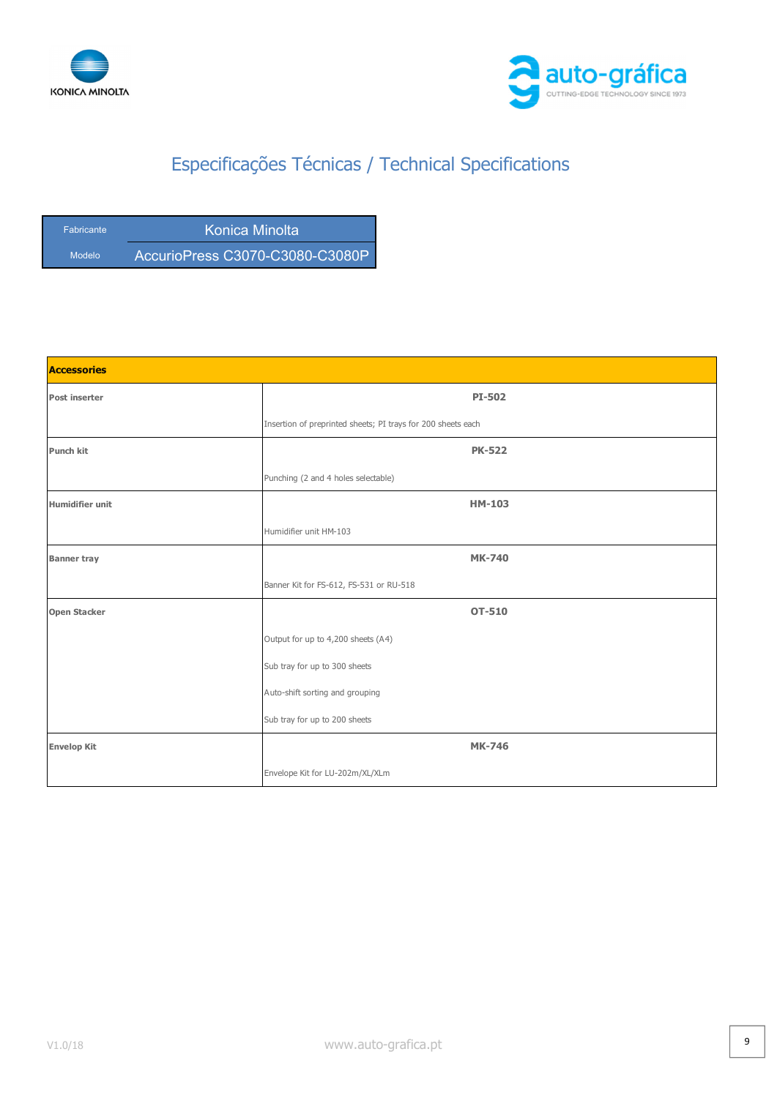



| <b>Fabricante</b> | Konica Minolta                  |
|-------------------|---------------------------------|
| Modelo            | AccurioPress C3070-C3080-C3080P |

| <b>Accessories</b>  |                                                              |
|---------------------|--------------------------------------------------------------|
| Post inserter       | PI-502                                                       |
|                     | Insertion of preprinted sheets; PI trays for 200 sheets each |
| Punch kit           | <b>PK-522</b>                                                |
|                     | Punching (2 and 4 holes selectable)                          |
| Humidifier unit     | <b>HM-103</b>                                                |
|                     | Humidifier unit HM-103                                       |
| <b>Banner tray</b>  | <b>MK-740</b>                                                |
|                     | Banner Kit for FS-612, FS-531 or RU-518                      |
| <b>Open Stacker</b> | <b>OT-510</b>                                                |
|                     | Output for up to 4,200 sheets (A4)                           |
|                     | Sub tray for up to 300 sheets                                |
|                     | Auto-shift sorting and grouping                              |
|                     | Sub tray for up to 200 sheets                                |
| <b>Envelop Kit</b>  | <b>MK-746</b>                                                |
|                     | Envelope Kit for LU-202m/XL/XLm                              |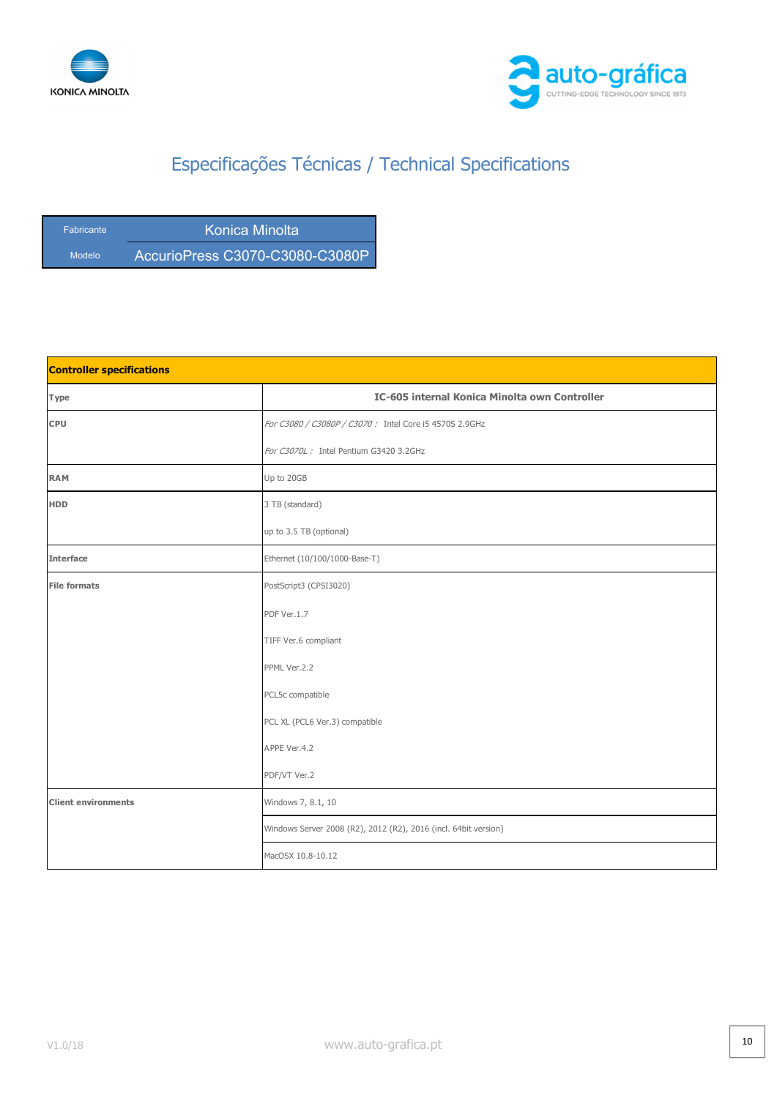



| <b>Fabricante</b> | Konica Minolta                  |
|-------------------|---------------------------------|
| Modelo            | AccurioPress C3070-C3080-C3080P |

| <b>Controller specifications</b> |                                                                 |
|----------------------------------|-----------------------------------------------------------------|
| <b>Type</b>                      | IC-605 internal Konica Minolta own Controller                   |
| <b>CPU</b>                       | For C3080 / C3080P / C3070: Intel Core i5 4570S 2.9GHz          |
|                                  | For C3070L: Intel Pentium G3420 3.2GHz                          |
| <b>RAM</b>                       | Up to 20GB                                                      |
| <b>HDD</b>                       | 3 TB (standard)                                                 |
|                                  | up to 3.5 TB (optional)                                         |
| <b>Interface</b>                 | Ethernet (10/100/1000-Base-T)                                   |
| <b>File formats</b>              | PostScript3 (CPSI3020)                                          |
|                                  | PDF Ver.1.7                                                     |
|                                  | TIFF Ver.6 compliant                                            |
|                                  | PPML Ver.2.2                                                    |
|                                  | PCL5c compatible                                                |
|                                  | PCL XL (PCL6 Ver.3) compatible                                  |
|                                  | APPE Ver.4.2                                                    |
|                                  | PDF/VT Ver.2                                                    |
| <b>Client environments</b>       | Windows 7, 8.1, 10                                              |
|                                  | Windows Server 2008 (R2), 2012 (R2), 2016 (incl. 64bit version) |
|                                  | MacOSX 10.8-10.12                                               |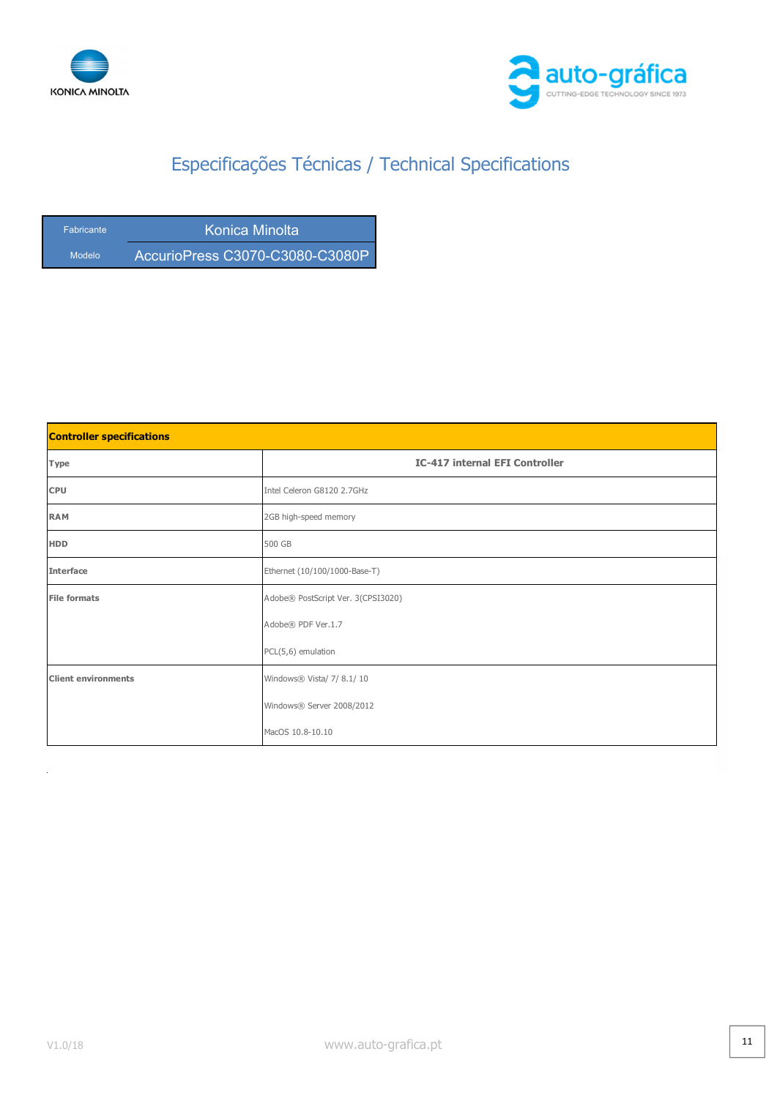



| <b>Fabricante</b> | Konica Minolta                  |
|-------------------|---------------------------------|
| Modelo            | AccurioPress C3070-C3080-C3080P |

| <b>Controller specifications</b> |                                       |
|----------------------------------|---------------------------------------|
| Type                             | <b>IC-417 internal EFI Controller</b> |
| <b>CPU</b>                       | Intel Celeron G8120 2.7GHz            |
| <b>RAM</b>                       | 2GB high-speed memory                 |
| <b>HDD</b>                       | 500 GB                                |
| <b>Interface</b>                 | Ethernet (10/100/1000-Base-T)         |
| <b>File formats</b>              | Adobe® PostScript Ver. 3(CPSI3020)    |
|                                  | Adobe® PDF Ver.1.7                    |
|                                  | PCL(5,6) emulation                    |
| <b>Client environments</b>       | Windows® Vista/ 7/ 8.1/ 10            |
|                                  | Windows® Server 2008/2012             |
|                                  | MacOS 10.8-10.10                      |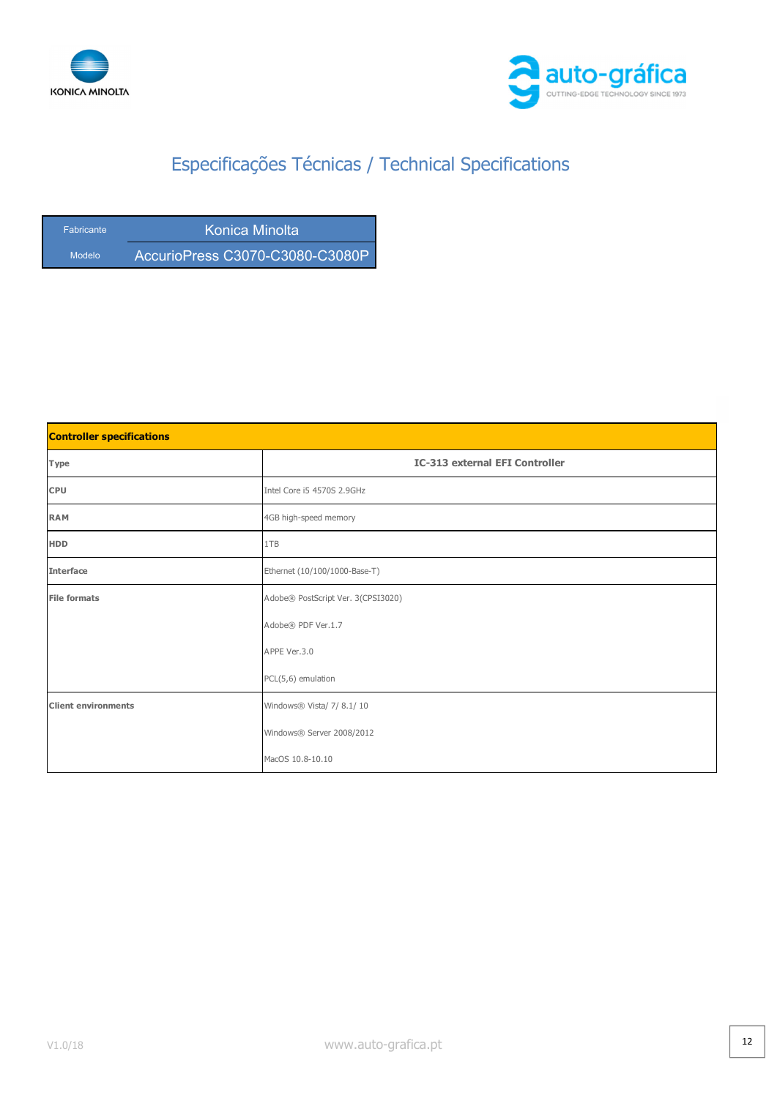



| <b>Fabricante</b> | Konica Minolta                  |
|-------------------|---------------------------------|
| Modelo            | AccurioPress C3070-C3080-C3080P |

| <b>Controller specifications</b> |                                       |  |
|----------------------------------|---------------------------------------|--|
| Type                             | <b>IC-313 external EFI Controller</b> |  |
| <b>CPU</b>                       | Intel Core i5 4570S 2.9GHz            |  |
| <b>RAM</b>                       | 4GB high-speed memory                 |  |
| <b>HDD</b>                       | 1TB                                   |  |
| <b>Interface</b>                 | Ethernet (10/100/1000-Base-T)         |  |
| <b>File formats</b>              | Adobe® PostScript Ver. 3(CPSI3020)    |  |
|                                  | Adobe® PDF Ver.1.7                    |  |
|                                  | APPE Ver.3.0                          |  |
|                                  | PCL(5,6) emulation                    |  |
| <b>Client environments</b>       | Windows® Vista/ 7/ 8.1/ 10            |  |
|                                  | Windows® Server 2008/2012             |  |
|                                  | MacOS 10.8-10.10                      |  |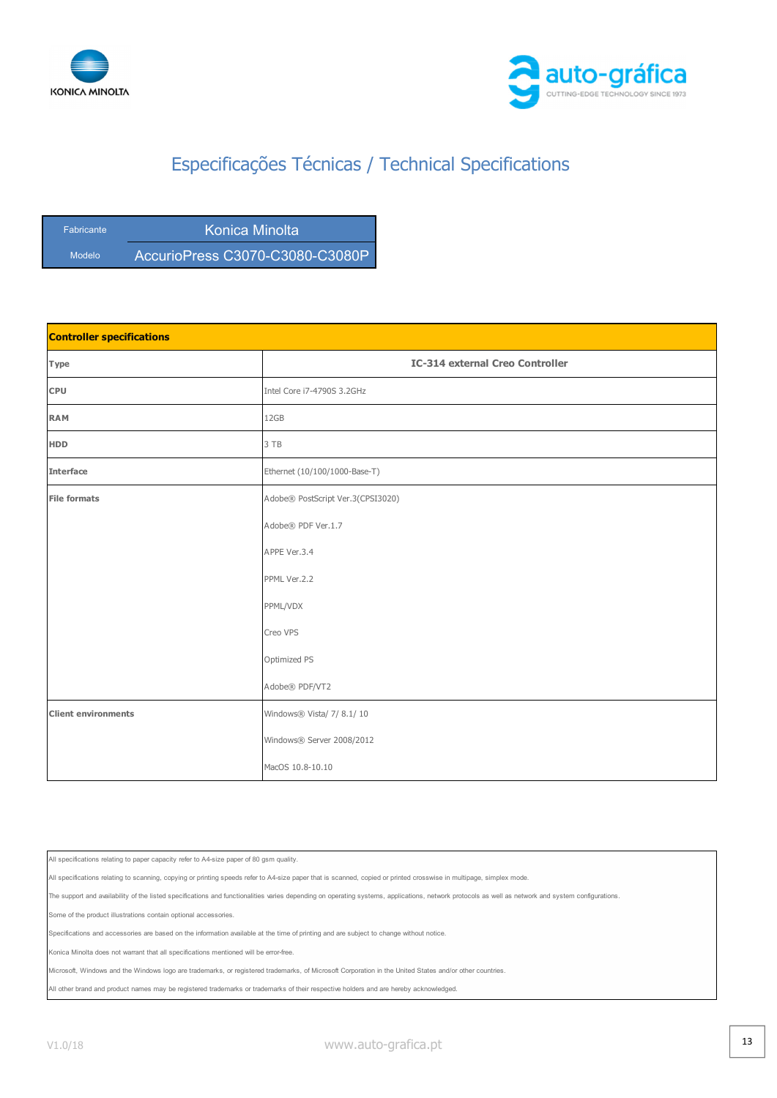



| <b>Fabricante</b> | Konica Minolta                  |
|-------------------|---------------------------------|
| Modelo            | AccurioPress C3070-C3080-C3080P |

| <b>Controller specifications</b> |                                        |  |
|----------------------------------|----------------------------------------|--|
| Type                             | <b>IC-314 external Creo Controller</b> |  |
| <b>CPU</b>                       | Intel Core i7-4790S 3.2GHz             |  |
| <b>RAM</b>                       | 12GB                                   |  |
| <b>HDD</b>                       | 3 TB                                   |  |
| <b>Interface</b>                 | Ethernet (10/100/1000-Base-T)          |  |
| <b>File formats</b>              | Adobe® PostScript Ver.3(CPSI3020)      |  |
|                                  | Adobe® PDF Ver.1.7                     |  |
|                                  | APPE Ver.3.4                           |  |
|                                  | PPML Ver.2.2                           |  |
|                                  | PPML/VDX                               |  |
|                                  | Creo VPS                               |  |
|                                  | Optimized PS                           |  |
|                                  | Adobe® PDF/VT2                         |  |
| <b>Client environments</b>       | Windows® Vista/ 7/ 8.1/ 10             |  |
|                                  | Windows® Server 2008/2012              |  |
|                                  | MacOS 10.8-10.10                       |  |

All specifications relating to paper capacity refer to A4-size paper of 80 gsm quality.

All specifications relating to scanning, copying or printing speeds refer to A4-size paper that is scanned, copied or printed crosswise in multipage, simplex mode.

The support and availability of the listed specifications and functionalities varies depending on operating systems, applications, network protocols as well as network and system configurations.

ne of the product illustrations contain optional accessories.

Specifications and accessories are based on the information available at the time of printing and are subject to change without notice.

Konica Minolta does not warrant that all specifications mentioned will be error-free.

Microsoft, Windows and the Windows logo are trademarks, or registered trademarks, of Microsoft Corporation in the United States and/or other countries.

All other brand and product names may be registered trademarks or trademarks of their respective holders and are hereby acknowledged.